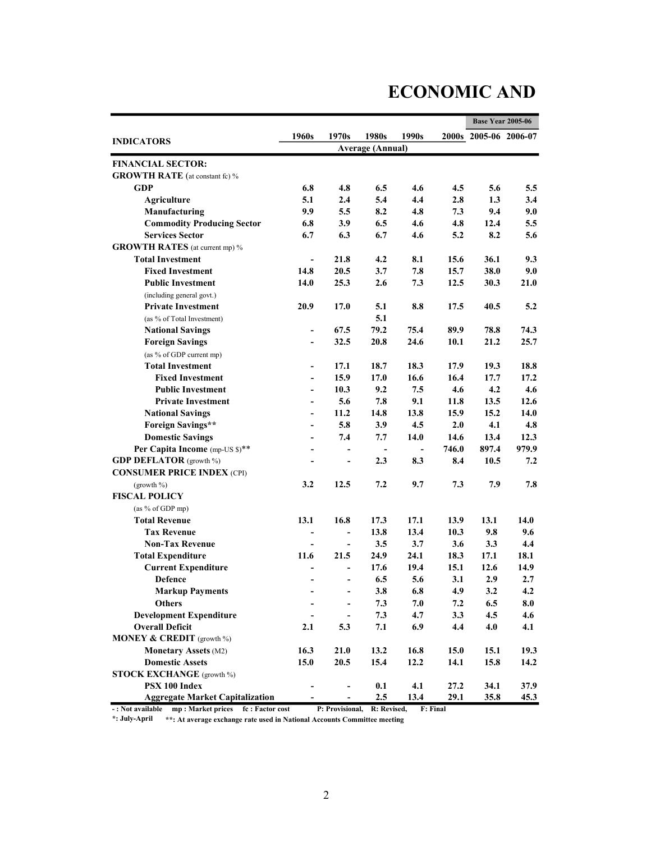# ECONOMIC AND

|                                        |                          |                          |                |                                  |              | <b>Base Year 2005-06</b> |       |
|----------------------------------------|--------------------------|--------------------------|----------------|----------------------------------|--------------|--------------------------|-------|
| <b>INDICATORS</b>                      | 1960s                    | 1970s<br>1980s           |                | 1990s<br><b>Average (Annual)</b> |              | 2000s 2005-06 2006-07    |       |
|                                        |                          |                          |                |                                  |              |                          |       |
| <b>FINANCIAL SECTOR:</b>               |                          |                          |                |                                  |              |                          |       |
| <b>GROWTH RATE</b> (at constant fc) %  |                          |                          |                |                                  |              |                          |       |
| <b>GDP</b>                             | 6.8                      | 4.8                      | 6.5            | 4.6                              | 4.5          | 5.6                      | 5.5   |
| <b>Agriculture</b>                     | 5.1                      | 2.4                      | 5.4            | 4.4                              | 2.8          | 1.3                      | 3.4   |
| Manufacturing                          | 9.9                      | 5.5                      | 8.2            | 4.8                              | 7.3          | 9.4                      | 9.0   |
| <b>Commodity Producing Sector</b>      | 6.8                      | 3.9                      | 6.5            | 4.6                              | 4.8          | 12.4                     | 5.5   |
| <b>Services Sector</b>                 | 6.7                      | 6.3                      | 6.7            | 4.6                              | 5.2          | 8.2                      | 5.6   |
| <b>GROWTH RATES</b> (at current mp) %  |                          |                          |                |                                  |              |                          |       |
| <b>Total Investment</b>                | $\overline{a}$           | 21.8                     | 4.2            | 8.1                              | 15.6         | 36.1                     | 9.3   |
| <b>Fixed Investment</b>                | 14.8                     | 20.5                     | 3.7            | 7.8                              | 15.7         | 38.0                     | 9.0   |
| <b>Public Investment</b>               | 14.0                     | 25.3                     | 2.6            | 7.3                              | 12.5         | 30.3                     | 21.0  |
| (including general govt.)              |                          |                          |                |                                  |              |                          |       |
| <b>Private Investment</b>              | 20.9                     | 17.0                     | 5.1            | 8.8                              | 17.5         | 40.5                     | 5.2   |
| (as % of Total Investment)             |                          |                          | 5.1            |                                  |              |                          |       |
| <b>National Savings</b>                | $\blacksquare$           | 67.5                     | 79.2           | 75.4                             | 89.9         | 78.8                     | 74.3  |
| <b>Foreign Savings</b>                 | $\overline{\phantom{0}}$ | 32.5                     | 20.8           | 24.6                             | 10.1         | 21.2                     | 25.7  |
| (as % of GDP current mp)               |                          |                          |                |                                  |              |                          |       |
| <b>Total Investment</b>                | $\overline{\phantom{a}}$ | 17.1                     | 18.7           | 18.3                             | 17.9         | 19.3                     | 18.8  |
| <b>Fixed Investment</b>                | $\overline{\phantom{0}}$ | 15.9                     | 17.0           | 16.6                             | 16.4         | 17.7                     | 17.2  |
| <b>Public Investment</b>               | $\blacksquare$           | 10.3                     | 9.2            | 7.5                              | 4.6          | 4.2                      | 4.6   |
| <b>Private Investment</b>              |                          | 5.6                      | 7.8            | 9.1                              | 11.8         | 13.5                     | 12.6  |
| <b>National Savings</b>                | $\blacksquare$           | 11.2                     | 14.8           | 13.8                             | 15.9         | 15.2                     | 14.0  |
| <b>Foreign Savings**</b>               | $\qquad \qquad -$        | 5.8                      | 3.9            | 4.5                              | 2.0          | 4.1                      | 4.8   |
| <b>Domestic Savings</b>                | $\overline{\phantom{a}}$ | 7.4                      | 7.7            | 14.0                             | 14.6         | 13.4                     | 12.3  |
| Per Capita Income (mp-US \$)**         | $\overline{\phantom{a}}$ | $\overline{\phantom{0}}$ | $\blacksquare$ | $\overline{\phantom{a}}$         | 746.0        | 897.4                    | 979.9 |
| <b>GDP DEFLATOR</b> (growth %)         | $\overline{\phantom{a}}$ | $\overline{a}$           | 2.3            | 8.3                              | 8.4          | 10.5                     | 7.2   |
| <b>CONSUMER PRICE INDEX (CPI)</b>      |                          |                          |                |                                  |              |                          |       |
| (growth $\%$ )                         | 3.2                      | 12.5                     | 7.2            | 9.7                              | 7.3          | 7.9                      | 7.8   |
| <b>FISCAL POLICY</b>                   |                          |                          |                |                                  |              |                          |       |
| (as % of GDP mp)                       |                          |                          |                |                                  |              |                          |       |
| <b>Total Revenue</b>                   | 13.1                     | 16.8                     | 17.3           | 17.1                             | 13.9         | 13.1                     | 14.0  |
| <b>Tax Revenue</b>                     | $\overline{\phantom{a}}$ | $\overline{\phantom{a}}$ | 13.8           | 13.4                             | 10.3         | 9.8                      | 9.6   |
| <b>Non-Tax Revenue</b>                 | $\overline{\phantom{0}}$ |                          | 3.5            | 3.7                              | 3.6          | 3.3                      | 4.4   |
|                                        | 11.6                     | $\blacksquare$           |                |                                  |              |                          |       |
| <b>Total Expenditure</b>               |                          | 21.5                     | 24.9<br>17.6   | 24.1<br>19.4                     | 18.3<br>15.1 | 17.1<br>12.6             | 18.1  |
| <b>Current Expenditure</b>             |                          | $\overline{a}$           |                |                                  |              |                          | 14.9  |
| <b>Defence</b>                         | ÷                        | $\overline{a}$           | 6.5            | 5.6                              | 3.1          | 2.9                      | 2.7   |
| <b>Markup Payments</b>                 |                          |                          | 3.8            | $\bf 6.8$                        | 4.9          | 3.2                      | 4.2   |
| <b>Others</b>                          |                          | $\frac{1}{2}$            | 7.3            | 7.0                              | 7.2          | 6.5                      | 8.0   |
| <b>Development Expenditure</b>         | $\overline{\phantom{a}}$ | $\blacksquare$           | 7.3            | 4.7                              | 3.3          | 4.5                      | 4.6   |
| <b>Overall Deficit</b>                 | 2.1                      | 5.3                      | 7.1            | 6.9                              | 4.4          | 4.0                      | 4.1   |
| <b>MONEY &amp; CREDIT</b> (growth %)   |                          |                          |                |                                  |              |                          |       |
| <b>Monetary Assets (M2)</b>            | 16.3                     | 21.0                     | 13.2           | 16.8                             | 15.0         | 15.1                     | 19.3  |
| <b>Domestic Assets</b>                 | 15.0                     | 20.5                     | 15.4           | 12.2                             | 14.1         | 15.8                     | 14.2  |
| <b>STOCK EXCHANGE</b> (growth %)       |                          |                          |                |                                  |              |                          |       |
| PSX 100 Index                          |                          | $\overline{a}$           | 0.1            | 4.1                              | 27.2         | 34.1                     | 37.9  |
| <b>Aggregate Market Capitalization</b> | $\overline{\phantom{0}}$ | $\frac{1}{2}$            | 2.5            | 13.4                             | 29.1         | 35.8                     | 45.3  |

- : Not available mp : Market prices fc : Factor cost P: Provisional, R: Revised, F: Final

\*: July-April \*\*: At average exchange rate used in National Accounts Committee meeting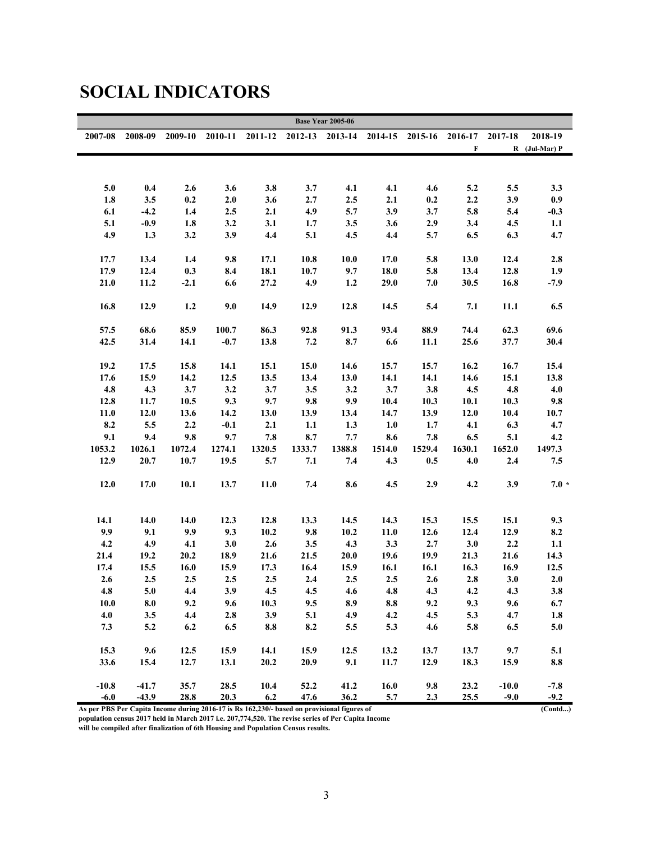|                                                                                             |         |         |         |           |                 | <b>Base Year 2005-06</b> |        |                         |             |         |                 |
|---------------------------------------------------------------------------------------------|---------|---------|---------|-----------|-----------------|--------------------------|--------|-------------------------|-------------|---------|-----------------|
| 2007-08                                                                                     | 2008-09 | 2009-10 | 2010-11 | 2011-12   | 2012-13 2013-14 |                          |        | 2014-15 2015-16 2016-17 |             | 2017-18 | 2018-19         |
|                                                                                             |         |         |         |           |                 |                          |        |                         | $\mathbf F$ |         | $R$ (Jul-Mar) P |
|                                                                                             |         |         |         |           |                 |                          |        |                         |             |         |                 |
|                                                                                             |         |         |         |           |                 |                          |        |                         |             |         |                 |
| 5.0                                                                                         | 0.4     | 2.6     | 3.6     | 3.8       | 3.7             | 4.1                      | 4.1    | 4.6                     | 5.2         | 5.5     | 3.3             |
| 1.8                                                                                         | 3.5     | 0.2     | 2.0     | 3.6       | 2.7             | 2.5                      | 2.1    | 0.2                     | 2.2         | 3.9     | 0.9             |
| 6.1                                                                                         | $-4.2$  | 1.4     | $2.5\,$ | 2.1       | 4.9             | 5.7                      | 3.9    | 3.7                     | 5.8         | 5.4     | $-0.3$          |
| 5.1                                                                                         | $-0.9$  | 1.8     | 3.2     | 3.1       | 1.7             | 3.5                      | 3.6    | 2.9                     | 3.4         | 4.5     | 1.1             |
| 4.9                                                                                         | 1.3     | 3.2     | 3.9     | 4.4       | 5.1             | 4.5                      | 4.4    | 5.7                     | 6.5         | 6.3     | 4.7             |
|                                                                                             |         |         |         |           |                 |                          |        |                         |             |         |                 |
| 17.7                                                                                        | 13.4    | 1.4     | 9.8     | 17.1      | 10.8            | 10.0                     | 17.0   | 5.8                     | 13.0        | 12.4    | 2.8             |
| 17.9                                                                                        | 12.4    | 0.3     | 8.4     | 18.1      | 10.7            | 9.7                      | 18.0   | 5.8                     | 13.4        | 12.8    | 1.9             |
| 21.0                                                                                        | 11.2    | $-2.1$  | 6.6     | 27.2      | 4.9             | 1.2                      | 29.0   | 7.0                     | 30.5        | 16.8    | $-7.9$          |
| 16.8                                                                                        | 12.9    | 1.2     | 9.0     | 14.9      | 12.9            | 12.8                     | 14.5   | 5.4                     | 7.1         | 11.1    | 6.5             |
|                                                                                             |         |         |         |           |                 |                          |        |                         |             |         |                 |
| 57.5                                                                                        | 68.6    | 85.9    | 100.7   | 86.3      | 92.8            | 91.3                     | 93.4   | 88.9                    | 74.4        | 62.3    | 69.6            |
| 42.5                                                                                        | 31.4    | 14.1    | $-0.7$  | 13.8      | 7.2             | 8.7                      | 6.6    | 11.1                    | 25.6        | 37.7    | 30.4            |
|                                                                                             |         |         |         |           |                 |                          |        |                         |             |         |                 |
| 19.2                                                                                        | 17.5    | 15.8    | 14.1    | 15.1      | 15.0            | 14.6                     | 15.7   | 15.7                    | 16.2        | 16.7    | 15.4            |
| 17.6                                                                                        | 15.9    | 14.2    | 12.5    | 13.5      | 13.4            | 13.0                     | 14.1   | 14.1                    | 14.6        | 15.1    | 13.8            |
| 4.8                                                                                         | 4.3     | 3.7     | 3.2     | 3.7       | 3.5             | 3.2                      | 3.7    | 3.8                     | 4.5         | 4.8     | 4.0             |
| 12.8                                                                                        | 11.7    | 10.5    | 9.3     | 9.7       | 9.8             | 9.9                      | 10.4   | 10.3                    | 10.1        | 10.3    | 9.8             |
| 11.0                                                                                        | 12.0    | 13.6    | 14.2    | 13.0      | 13.9            | 13.4                     | 14.7   | 13.9                    | 12.0        | 10.4    | 10.7            |
| 8.2                                                                                         | 5.5     | 2.2     | $-0.1$  | 2.1       | 1.1             | 1.3                      | 1.0    | 1.7                     | 4.1         | 6.3     | 4.7             |
| 9.1                                                                                         | 9.4     | 9.8     | 9.7     | $\bf 7.8$ | 8.7             | 7.7                      | 8.6    | $\bf 7.8$               | 6.5         | 5.1     | 4.2             |
| 1053.2                                                                                      | 1026.1  | 1072.4  | 1274.1  | 1320.5    | 1333.7          | 1388.8                   | 1514.0 | 1529.4                  | 1630.1      | 1652.0  | 1497.3          |
| 12.9                                                                                        | 20.7    | 10.7    | 19.5    | 5.7       | 7.1             | 7.4                      | 4.3    | 0.5                     | 4.0         | 2.4     | $7.5$           |
| 12.0                                                                                        | 17.0    | 10.1    | 13.7    | 11.0      | 7.4             | 8.6                      | 4.5    | 2.9                     | 4.2         | 3.9     | $7.0*$          |
|                                                                                             |         |         |         |           |                 |                          |        |                         |             |         |                 |
|                                                                                             |         |         |         |           |                 |                          |        |                         |             |         |                 |
| 14.1                                                                                        | 14.0    | 14.0    | 12.3    | 12.8      | 13.3            | 14.5                     | 14.3   | 15.3                    | 15.5        | 15.1    | 9.3             |
| 9.9                                                                                         | 9.1     | 9.9     | 9.3     | 10.2      | 9.8             | 10.2                     | 11.0   | 12.6                    | 12.4        | 12.9    | 8.2             |
| 4.2                                                                                         | 4.9     | 4.1     | 3.0     | 2.6       | 3.5             | 4.3                      | 3.3    | 2.7                     | 3.0         | 2.2     | 1.1             |
| 21.4                                                                                        | 19.2    | 20.2    | 18.9    | 21.6      | 21.5            | 20.0                     | 19.6   | 19.9                    | 21.3        | 21.6    | 14.3            |
| 17.4                                                                                        | 15.5    | 16.0    | 15.9    | 17.3      | 16.4            | 15.9                     | 16.1   | 16.1                    | 16.3        | 16.9    | 12.5            |
| 2.6                                                                                         | 2.5     | 2.5     | 2.5     | 2.5       | 2.4             | 2.5                      | 2.5    | 2.6                     | 2.8         | 3.0     | 2.0             |
| 4.8                                                                                         | 5.0     | 4.4     | 3.9     | 4.5       | 4.5             | 4.6                      | 4.8    | 4.3                     | 4.2         | 4.3     | 3.8             |
| 10.0                                                                                        | 8.0     | 9.2     | 9.6     | 10.3      | 9.5             | 8.9                      | 8.8    | 9.2                     | 9.3         | 9.6     | 6.7             |
| 4.0                                                                                         | 3.5     | 4.4     | 2.8     | 3.9       | 5.1             | 4.9                      | 4.2    | 4.5                     | 5.3         | 4.7     | 1.8             |
| 7.3                                                                                         | $5.2$   | 6.2     | 6.5     | $\bf 8.8$ | 8.2             | 5.5                      | 5.3    | 4.6                     | 5.8         | 6.5     | $5.0$           |
| 15.3                                                                                        | 9.6     | 12.5    | 15.9    | 14.1      | 15.9            | 12.5                     | 13.2   | 13.7                    | 13.7        | 9.7     | 5.1             |
| 33.6                                                                                        | 15.4    | 12.7    | 13.1    | 20.2      | 20.9            | 9.1                      | 11.7   | 12.9                    | 18.3        | 15.9    | $\bf 8.8$       |
|                                                                                             |         |         |         |           |                 |                          |        |                         |             |         |                 |
| $-10.8$                                                                                     | $-41.7$ | 35.7    | 28.5    | 10.4      | 52.2            | 41.2                     | 16.0   | 9.8                     | 23.2        | $-10.0$ | $-7.8$          |
| $-6.0$                                                                                      | $-43.9$ | 28.8    | 20.3    | 6.2       | 47.6            | 36.2                     | 5.7    | 2.3                     | 25.5        | $-9.0$  | $-9.2$          |
| As per PBS Per Capita Income during 2016-17 is Rs 162,230/- based on provisional figures of |         |         |         |           |                 |                          |        |                         |             |         | (Control)       |

### SOCIAL INDICATORS

As per PBS Per Capita Income during 2016-17 is Rs 162,230/- based on provisional figures of

population census 2017 held in March 2017 i.e. 207,774,520. The revise series of Per Capita Income

will be compiled after finalization of 6th Housing and Population Census results.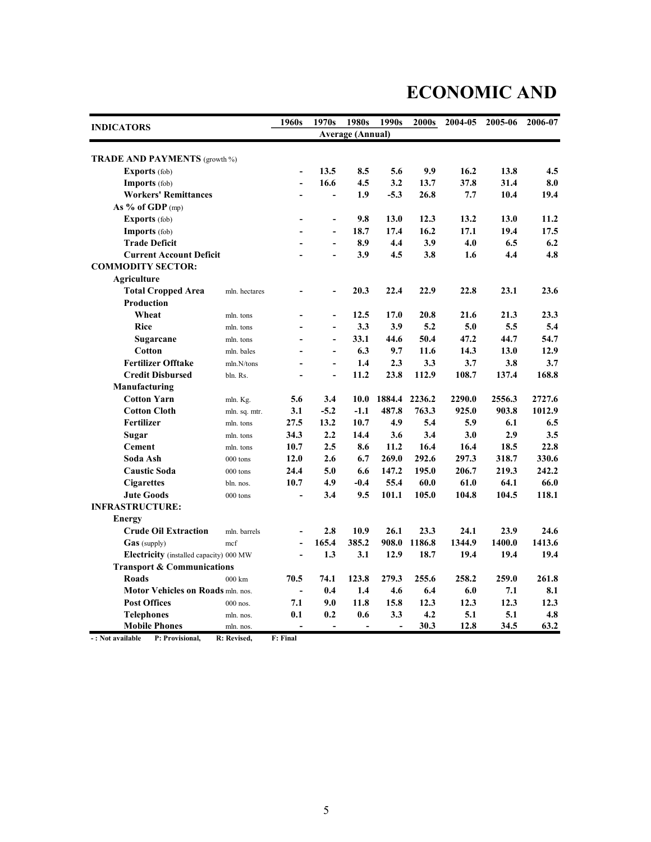# ECONOMIC AND

| <b>INDICATORS</b>                       |                   | 1960s                    | 1970s                    | 1980s                   | 1990s  | 2000s  | 2004-05 | 2005-06 | 2006-07 |
|-----------------------------------------|-------------------|--------------------------|--------------------------|-------------------------|--------|--------|---------|---------|---------|
|                                         |                   |                          |                          | <b>Average (Annual)</b> |        |        |         |         |         |
| <b>TRADE AND PAYMENTS</b> (growth %)    |                   |                          |                          |                         |        |        |         |         |         |
| <b>Exports</b> (fob)                    |                   | $\overline{\phantom{a}}$ | 13.5                     | 8.5                     | 5.6    | 9.9    | 16.2    | 13.8    | 4.5     |
| <b>Imports</b> (fob)                    |                   | $\overline{a}$           | 16.6                     | 4.5                     | 3.2    | 13.7   | 37.8    | 31.4    | 8.0     |
| <b>Workers' Remittances</b>             |                   |                          | $\overline{a}$           | 1.9                     | $-5.3$ | 26.8   | 7.7     | 10.4    | 19.4    |
| As $%$ of GDP (mp)                      |                   |                          |                          |                         |        |        |         |         |         |
| <b>Exports</b> (fob)                    |                   |                          | $\overline{a}$           | 9.8                     | 13.0   | 12.3   | 13.2    | 13.0    | 11.2    |
| Imports (fob)                           |                   |                          | $\overline{a}$           | 18.7                    | 17.4   | 16.2   | 17.1    | 19.4    | 17.5    |
| <b>Trade Deficit</b>                    |                   |                          | $\overline{a}$           | 8.9                     | 4.4    | 3.9    | 4.0     | 6.5     | 6.2     |
| <b>Current Account Deficit</b>          |                   |                          | $\overline{a}$           | 3.9                     | 4.5    | 3.8    | 1.6     | 4.4     | 4.8     |
| <b>COMMODITY SECTOR:</b>                |                   |                          |                          |                         |        |        |         |         |         |
| Agriculture                             |                   |                          |                          |                         |        |        |         |         |         |
| <b>Total Cropped Area</b>               | mln. hectares     |                          | $\overline{a}$           | 20.3                    | 22.4   | 22.9   | 22.8    | 23.1    | 23.6    |
| Production                              |                   |                          |                          |                         |        |        |         |         |         |
| Wheat                                   | mln. tons         |                          | $\overline{a}$           | 12.5                    | 17.0   | 20.8   | 21.6    | 21.3    | 23.3    |
| <b>Rice</b>                             | mln. tons         |                          | $\overline{a}$           | 3.3                     | 3.9    | 5.2    | 5.0     | 5.5     | 5.4     |
| Sugarcane                               | mln. tons         | $\overline{a}$           | $\overline{a}$           | 33.1                    | 44.6   | 50.4   | 47.2    | 44.7    | 54.7    |
| Cotton                                  | mln. bales        |                          | $\overline{\phantom{a}}$ | 6.3                     | 9.7    | 11.6   | 14.3    | 13.0    | 12.9    |
| <b>Fertilizer Offtake</b>               | mln.N/tons        | $\overline{a}$           | $\blacksquare$           | 1.4                     | 2.3    | 3.3    | 3.7     | 3.8     | 3.7     |
| <b>Credit Disbursed</b>                 | bln. Rs.          | $\overline{a}$           | $\overline{a}$           | 11.2                    | 23.8   | 112.9  | 108.7   | 137.4   | 168.8   |
| Manufacturing                           |                   |                          |                          |                         |        |        |         |         |         |
| <b>Cotton Yarn</b>                      | mln. Kg.          | 5.6                      | 3.4                      | 10.0                    | 1884.4 | 2236.2 | 2290.0  | 2556.3  | 2727.6  |
| <b>Cotton Cloth</b>                     | mln. sq. mtr.     | 3.1                      | $-5.2$                   | $-1.1$                  | 487.8  | 763.3  | 925.0   | 903.8   | 1012.9  |
| Fertilizer                              | mln. tons         | 27.5                     | 13.2                     | 10.7                    | 4.9    | 5.4    | 5.9     | 6.1     | 6.5     |
| Sugar                                   | mln. tons         | 34.3                     | 2.2                      | 14.4                    | 3.6    | 3.4    | 3.0     | 2.9     | 3.5     |
| <b>Cement</b>                           | mln. tons         | 10.7                     | 2.5                      | 8.6                     | 11.2   | 16.4   | 16.4    | 18.5    | 22.8    |
| Soda Ash                                | 000 tons          | 12.0                     | 2.6                      | 6.7                     | 269.0  | 292.6  | 297.3   | 318.7   | 330.6   |
| <b>Caustic Soda</b>                     | 000 tons          | 24.4                     | 5.0                      | 6.6                     | 147.2  | 195.0  | 206.7   | 219.3   | 242.2   |
| <b>Cigarettes</b>                       | bln. nos.         | 10.7                     | 4.9                      | $-0.4$                  | 55.4   | 60.0   | 61.0    | 64.1    | 66.0    |
| <b>Jute Goods</b>                       | $000$ tons        | $\overline{a}$           | 3.4                      | 9.5                     | 101.1  | 105.0  | 104.8   | 104.5   | 118.1   |
| <b>INFRASTRUCTURE:</b>                  |                   |                          |                          |                         |        |        |         |         |         |
| <b>Energy</b>                           |                   |                          |                          |                         |        |        |         |         |         |
| <b>Crude Oil Extraction</b>             | mln. barrels      | $\overline{\phantom{a}}$ | 2.8                      | 10.9                    | 26.1   | 23.3   | 24.1    | 23.9    | 24.6    |
| Gas (supply)                            | mcf               | $\overline{a}$           | 165.4                    | 385.2                   | 908.0  | 1186.8 | 1344.9  | 1400.0  | 1413.6  |
| Electricity (installed capacity) 000 MW |                   | $\overline{a}$           | 1.3                      | 3.1                     | 12.9   | 18.7   | 19.4    | 19.4    | 19.4    |
| <b>Transport &amp; Communications</b>   |                   |                          |                          |                         |        |        |         |         |         |
| <b>Roads</b>                            | $000 \mathrm{km}$ | 70.5                     | 74.1                     | 123.8                   | 279.3  | 255.6  | 258.2   | 259.0   | 261.8   |
| Motor Vehicles on Roads mln. nos.       |                   | $\overline{a}$           | 0.4                      | 1.4                     | 4.6    | 6.4    | 6.0     | 7.1     | 8.1     |
| <b>Post Offices</b>                     | $000$ nos.        | 7.1                      | 9.0                      | 11.8                    | 15.8   | 12.3   | 12.3    | 12.3    | 12.3    |
| <b>Telephones</b>                       | mln. nos.         | 0.1                      | 0.2                      | 0.6                     | 3.3    | 4.2    | 5.1     | 5.1     | 4.8     |
| <b>Mobile Phones</b>                    | mln. nos.         | $\overline{a}$           |                          |                         |        | 30.3   | 12.8    | 34.5    | 63.2    |

- : Not available P: Provisional, R: Revised, F: Final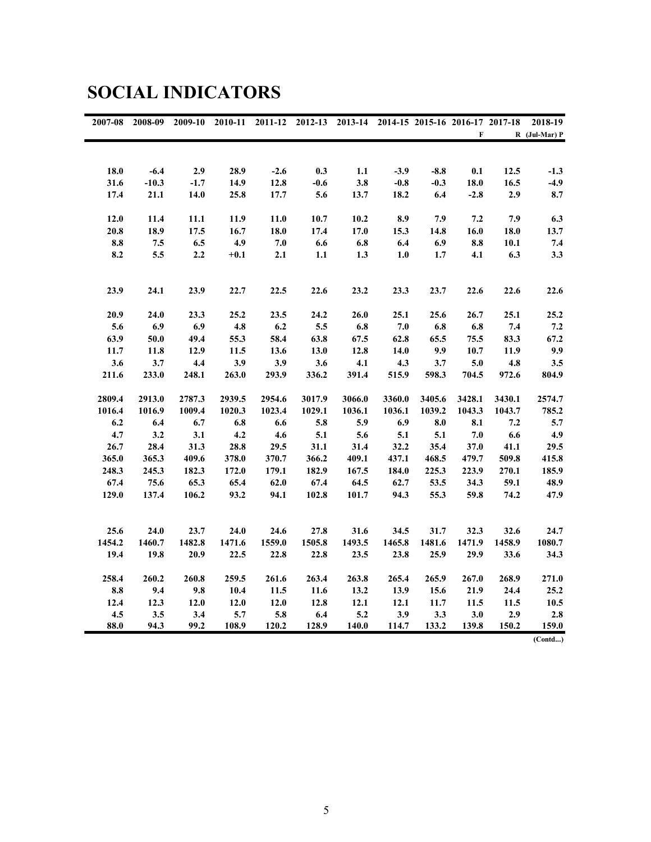| 2007-08   | 2008-09 | 2009-10 | 2010-11 | 2011-12 |        | 2012-13 2013-14 2014-15 2015-16 2016-17 2017-18 |        |                    |                    |        | 2018-19           |
|-----------|---------|---------|---------|---------|--------|-------------------------------------------------|--------|--------------------|--------------------|--------|-------------------|
|           |         |         |         |         |        |                                                 |        |                    | $\mathbf{F}$       |        | $R$ (Jul-Mar) $P$ |
|           |         |         |         |         |        |                                                 |        |                    |                    |        |                   |
|           |         |         |         |         |        |                                                 |        |                    |                    |        |                   |
| 18.0      | $-6.4$  | 2.9     | 28.9    | $-2.6$  | 0.3    | 1.1                                             | $-3.9$ | $-8.8$             | 0.1                | 12.5   | $-1.3$            |
| 31.6      | $-10.3$ | $-1.7$  | 14.9    | 12.8    | $-0.6$ | 3.8                                             | $-0.8$ | $-0.3$             | 18.0               | 16.5   | $-4.9$            |
| 17.4      | 21.1    | 14.0    | 25.8    | 17.7    | 5.6    | 13.7                                            | 18.2   | 6.4                | $-2.8$             | 2.9    | 8.7               |
| 12.0      | 11.4    | 11.1    | 11.9    | 11.0    | 10.7   | 10.2                                            | 8.9    | 7.9                | 7.2                | 7.9    | 6.3               |
| 20.8      | 18.9    | 17.5    | 16.7    | 18.0    | 17.4   | 17.0                                            | 15.3   | 14.8               | 16.0               | 18.0   | 13.7              |
| 8.8       | 7.5     | 6.5     | 4.9     | 7.0     | 6.6    | $6.8\,$                                         | 6.4    | 6.9                | 8.8                | 10.1   | $7.4\,$           |
| 8.2       | $5.5\,$ | 2.2     | $+0.1$  | 2.1     | 1.1    | 1.3                                             | $1.0$  | 1.7                | 4.1                | 6.3    | 3.3               |
|           |         |         |         |         |        |                                                 |        |                    |                    |        |                   |
| 23.9      | 24.1    | 23.9    | 22.7    | 22.5    | 22.6   | 23.2                                            | 23.3   | 23.7               | 22.6               | 22.6   | 22.6              |
| 20.9      | 24.0    | 23.3    | 25.2    | 23.5    | 24.2   | 26.0                                            | 25.1   | 25.6               | 26.7               | 25.1   | 25.2              |
| 5.6       | 6.9     | 6.9     | 4.8     | 6.2     | 5.5    | $\boldsymbol{6.8}$                              | 7.0    | $\boldsymbol{6.8}$ | $\boldsymbol{6.8}$ | 7.4    | $\bf 7.2$         |
| 63.9      | $50.0$  | 49.4    | 55.3    | 58.4    | 63.8   | 67.5                                            | 62.8   | 65.5               | 75.5               | 83.3   | 67.2              |
| 11.7      | 11.8    | 12.9    | 11.5    | 13.6    | 13.0   | 12.8                                            | 14.0   | 9.9                | 10.7               | 11.9   | 9.9               |
| 3.6       | 3.7     | 4.4     | 3.9     | 3.9     | 3.6    | 4.1                                             | 4.3    | 3.7                | 5.0                | 4.8    | 3.5               |
| 211.6     | 233.0   | 248.1   | 263.0   | 293.9   | 336.2  | 391.4                                           | 515.9  | 598.3              | 704.5              | 972.6  | 804.9             |
|           |         |         |         |         |        |                                                 |        |                    |                    |        |                   |
| 2809.4    | 2913.0  | 2787.3  | 2939.5  | 2954.6  | 3017.9 | 3066.0                                          | 3360.0 | 3405.6             | 3428.1             | 3430.1 | 2574.7            |
| 1016.4    | 1016.9  | 1009.4  | 1020.3  | 1023.4  | 1029.1 | 1036.1                                          | 1036.1 | 1039.2             | 1043.3             | 1043.7 | 785.2             |
| 6.2       | 6.4     | 6.7     | $6.8\,$ | 6.6     | 5.8    | 5.9                                             | 6.9    | 8.0                | 8.1                | 7.2    | 5.7               |
| 4.7       | 3.2     | 3.1     | 4.2     | 4.6     | 5.1    | 5.6                                             | 5.1    | 5.1                | 7.0                | 6.6    | 4.9               |
| 26.7      | 28.4    | 31.3    | 28.8    | 29.5    | 31.1   | 31.4                                            | 32.2   | 35.4               | 37.0               | 41.1   | 29.5              |
| 365.0     | 365.3   | 409.6   | 378.0   | 370.7   | 366.2  | 409.1                                           | 437.1  | 468.5              | 479.7              | 509.8  | 415.8             |
| 248.3     | 245.3   | 182.3   | 172.0   | 179.1   | 182.9  | 167.5                                           | 184.0  | 225.3              | 223.9              | 270.1  | 185.9             |
| 67.4      | 75.6    | 65.3    | 65.4    | 62.0    | 67.4   | 64.5                                            | 62.7   | 53.5               | 34.3               | 59.1   | 48.9              |
| 129.0     | 137.4   | 106.2   | 93.2    | 94.1    | 102.8  | 101.7                                           | 94.3   | 55.3               | 59.8               | 74.2   | 47.9              |
|           |         |         |         |         |        |                                                 |        |                    |                    |        |                   |
| 25.6      | 24.0    | 23.7    | 24.0    | 24.6    | 27.8   | 31.6                                            | 34.5   | 31.7               | 32.3               | 32.6   | 24.7              |
| 1454.2    | 1460.7  | 1482.8  | 1471.6  | 1559.0  | 1505.8 | 1493.5                                          | 1465.8 | 1481.6             | 1471.9             | 1458.9 | 1080.7            |
| 19.4      | 19.8    | 20.9    | 22.5    | 22.8    | 22.8   | 23.5                                            | 23.8   | 25.9               | 29.9               | 33.6   | 34.3              |
| 258.4     | 260.2   | 260.8   | 259.5   | 261.6   | 263.4  | 263.8                                           | 265.4  | 265.9              | 267.0              | 268.9  | 271.0             |
| $\bf 8.8$ | 9.4     | 9.8     | 10.4    | 11.5    | 11.6   | 13.2                                            | 13.9   | 15.6               | 21.9               | 24.4   | 25.2              |
| 12.4      | 12.3    | 12.0    | 12.0    | 12.0    | 12.8   | 12.1                                            | 12.1   | 11.7               | 11.5               | 11.5   | 10.5              |
| 4.5       | 3.5     | 3.4     | 5.7     | 5.8     | 6.4    | $5.2\,$                                         | 3.9    | 3.3                | 3.0                | 2.9    | $2.8$             |
| 88.0      | 94.3    | 99.2    | 108.9   | 120.2   | 128.9  | 140.0                                           | 114.7  | 133.2              | 139.8              | 150.2  | 159.0             |

### SOCIAL INDICATORS

(Contd...)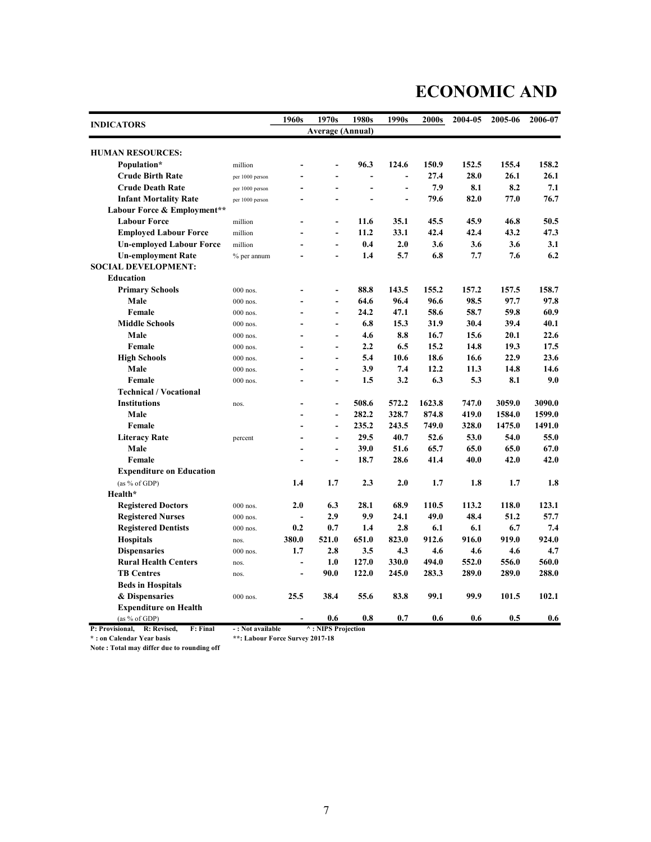### ECONOMIC AND

|                                               |                                 | 1960s          | 1970s                     | 1980s                    | 1990s                    | 2000s  | 2004-05 | 2005-06 | 2006-07 |
|-----------------------------------------------|---------------------------------|----------------|---------------------------|--------------------------|--------------------------|--------|---------|---------|---------|
| <b>INDICATORS</b>                             |                                 |                | <b>Average (Annual)</b>   |                          |                          |        |         |         |         |
| <b>HUMAN RESOURCES:</b>                       |                                 |                |                           |                          |                          |        |         |         |         |
| Population*                                   | million                         |                | $\overline{a}$            | 96.3                     | 124.6                    | 150.9  | 152.5   | 155.4   | 158.2   |
| <b>Crude Birth Rate</b>                       | per 1000 person                 |                | $\overline{\phantom{a}}$  |                          | $\overline{\phantom{a}}$ | 27.4   | 28.0    | 26.1    | 26.1    |
| <b>Crude Death Rate</b>                       | per 1000 person                 |                | $\overline{a}$            |                          | ÷,                       | 7.9    | 8.1     | 8.2     | 7.1     |
| <b>Infant Mortality Rate</b>                  | per 1000 person                 | $\overline{a}$ | $\overline{\phantom{a}}$  | $\overline{\phantom{a}}$ | ÷,                       | 79.6   | 82.0    | 77.0    | 76.7    |
| Labour Force & Employment**                   |                                 |                |                           |                          |                          |        |         |         |         |
| <b>Labour Force</b>                           | million                         |                | $\overline{a}$            | 11.6                     | 35.1                     | 45.5   | 45.9    | 46.8    | 50.5    |
| <b>Employed Labour Force</b>                  | million                         | ٠              | $\blacksquare$            | 11.2                     | 33.1                     | 42.4   | 42.4    | 43.2    | 47.3    |
| <b>Un-employed Labour Force</b>               | million                         |                | $\overline{a}$            | 0.4                      | 2.0                      | 3.6    | 3.6     | 3.6     | 3.1     |
| <b>Un-employment Rate</b>                     | % per annum                     | ÷              | ÷,                        | 1.4                      | 5.7                      | 6.8    | 7.7     | 7.6     | 6.2     |
| <b>SOCIAL DEVELOPMENT:</b>                    |                                 |                |                           |                          |                          |        |         |         |         |
| <b>Education</b>                              |                                 |                |                           |                          |                          |        |         |         |         |
| <b>Primary Schools</b>                        | 000 nos.                        |                | $\overline{\phantom{a}}$  | 88.8                     | 143.5                    | 155.2  | 157.2   | 157.5   | 158.7   |
| Male                                          | 000 nos.                        |                | $\overline{a}$            | 64.6                     | 96.4                     | 96.6   | 98.5    | 97.7    | 97.8    |
| Female                                        | 000 nos.                        | ٠              | $\blacksquare$            | 24.2                     | 47.1                     | 58.6   | 58.7    | 59.8    | 60.9    |
| <b>Middle Schools</b>                         | 000 nos.                        |                | $\blacksquare$            | 6.8                      | 15.3                     | 31.9   | 30.4    | 39.4    | 40.1    |
| Male                                          | 000 nos.                        |                | $\overline{a}$            | 4.6                      | 8.8                      | 16.7   | 15.6    | 20.1    | 22.6    |
| Female                                        | 000 nos.                        |                | $\blacksquare$            | 2.2                      | 6.5                      | 15.2   | 14.8    | 19.3    | 17.5    |
| <b>High Schools</b>                           | 000 nos.                        |                | $\overline{a}$            | 5.4                      | 10.6                     | 18.6   | 16.6    | 22.9    | 23.6    |
| Male                                          | $000$ nos.                      |                | $\blacksquare$            | 3.9                      | 7.4                      | 12.2   | 11.3    | 14.8    | 14.6    |
| Female                                        | $000$ nos.                      |                | $\blacksquare$            | 1.5                      | 3.2                      | 6.3    | 5.3     | 8.1     | 9.0     |
| <b>Technical / Vocational</b>                 |                                 |                |                           |                          |                          |        |         |         |         |
| <b>Institutions</b>                           |                                 |                | $\overline{a}$            | 508.6                    | 572.2                    | 1623.8 | 747.0   | 3059.0  | 3090.0  |
| Male                                          | nos.                            |                | $\overline{\phantom{a}}$  | 282.2                    | 328.7                    | 874.8  | 419.0   | 1584.0  | 1599.0  |
| Female                                        |                                 |                | $\blacksquare$            | 235.2                    | 243.5                    | 749.0  | 328.0   | 1475.0  | 1491.0  |
| <b>Literacy Rate</b>                          |                                 |                | $\blacksquare$            | 29.5                     | 40.7                     | 52.6   | 53.0    | 54.0    | 55.0    |
| Male                                          | percent                         |                | $\blacksquare$            | 39.0                     | 51.6                     | 65.7   | 65.0    | 65.0    | 67.0    |
| Female                                        |                                 |                | L.                        | 18.7                     | 28.6                     | 41.4   | 40.0    | 42.0    | 42.0    |
| <b>Expenditure on Education</b>               |                                 |                |                           |                          |                          |        |         |         |         |
| (as % of GDP)                                 |                                 | 1.4            | 1.7                       | 2.3                      | 2.0                      | 1.7    | 1.8     | 1.7     | 1.8     |
| Health*                                       |                                 |                |                           |                          |                          |        |         |         |         |
| <b>Registered Doctors</b>                     | $000$ nos.                      | 2.0            | 6.3                       | 28.1                     | 68.9                     | 110.5  | 113.2   | 118.0   | 123.1   |
| <b>Registered Nurses</b>                      | $000$ nos.                      | $\blacksquare$ | 2.9                       | 9.9                      | 24.1                     | 49.0   | 48.4    | 51.2    | 57.7    |
| <b>Registered Dentists</b>                    | 000 nos.                        | 0.2            | 0.7                       | 1.4                      | 2.8                      | 6.1    | 6.1     | 6.7     | 7.4     |
| <b>Hospitals</b>                              |                                 | 380.0          | 521.0                     | 651.0                    | 823.0                    | 912.6  | 916.0   | 919.0   | 924.0   |
| <b>Dispensaries</b>                           | nos.<br>$000$ nos.              | 1.7            | 2.8                       | 3.5                      | 4.3                      | 4.6    | 4.6     | 4.6     | 4.7     |
| <b>Rural Health Centers</b>                   |                                 | $\blacksquare$ | 1.0                       | 127.0                    | 330.0                    | 494.0  | 552.0   | 556.0   | 560.0   |
| <b>TB Centres</b>                             | nos.                            |                | 90.0                      | 122.0                    | 245.0                    | 283.3  | 289.0   | 289.0   | 288.0   |
|                                               | nos.                            | $\blacksquare$ |                           |                          |                          |        |         |         |         |
| <b>Beds in Hospitals</b>                      |                                 |                |                           |                          |                          |        |         |         |         |
| & Dispensaries                                | 000 nos.                        | 25.5           | 38.4                      | 55.6                     | 83.8                     | 99.1   | 99.9    | 101.5   | 102.1   |
| <b>Expenditure on Health</b><br>(as % of GDP) |                                 |                | 0.6                       | 0.8                      | 0.7                      | 0.6    | 0.6     | 0.5     | 0.6     |
| P: Provisional,<br>R: Revised,<br>F: Final    | -: Not available                |                | $\land$ : NIPS Projection |                          |                          |        |         |         |         |
| *: on Calendar Year basis                     | **: Labour Force Survey 2017-18 |                |                           |                          |                          |        |         |         |         |

Note : Total may differ due to rounding off